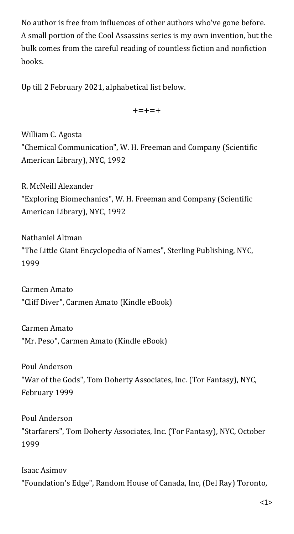No author is free from influences of other authors who've gone before. A small portion of the Cool Assassins series is my own invention, but the bulk comes from the careful reading of countless fiction and nonfiction books.

Up till 2 February 2021, alphabetical list below.

+=+=+

William C. Agosta "Chemical Communication", W. H. Freeman and Company (Scientific American Library), NYC, 1992

R. McNeill Alexander "Exploring Biomechanics", W. H. Freeman and Company (Scientific American Library), NYC, 1992

Nathaniel Altman "The Little Giant Encyclopedia of Names", Sterling Publishing, NYC, 1999

Carmen Amato "Cliff Diver", Carmen Amato (Kindle eBook)

Carmen Amato "Mr. Peso", Carmen Amato (Kindle eBook)

Poul Anderson "War of the Gods", Tom Doherty Associates, Inc. (Tor Fantasy), NYC, February 1999

Poul Anderson "Starfarers", Tom Doherty Associates, Inc. (Tor Fantasy), NYC, October 1999

Isaac Asimov "Foundation's Edge", Random House of Canada, Inc, (Del Ray) Toronto,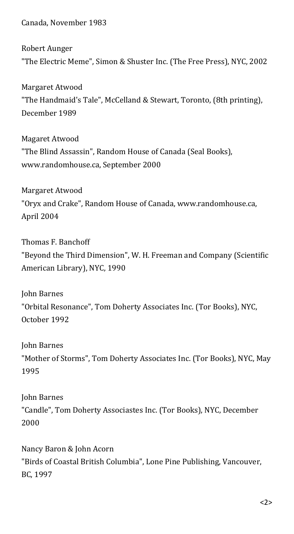Canada, November 1983

Robert Aunger "The Electric Meme", Simon & Shuster Inc. (The Free Press), NYC, 2002

Margaret Atwood "The Handmaid's Tale", McCelland & Stewart, Toronto, (8th printing), December 1989

Magaret Atwood "The Blind Assassin", Random House of Canada (Seal Books), [www.randomhouse.ca](http://www.randomhouse.ca/), September 2000

Margaret Atwood "Oryx and Crake", Random House of Canada, www.randomhouse.ca, April 2004

Thomas F. Banchoff "Beyond the Third Dimension", W. H. Freeman and Company (Scientific American Library), NYC, 1990

John Barnes "Orbital Resonance", Tom Doherty Associates Inc. (Tor Books), NYC, October 1992

John Barnes "Mother of Storms", Tom Doherty Associates Inc. (Tor Books), NYC, May 1995

John Barnes "Candle", Tom Doherty Associastes Inc. (Tor Books), NYC, December 2000

Nancy Baron & John Acorn "Birds of Coastal British Columbia", Lone Pine Publishing, Vancouver, BC, 1997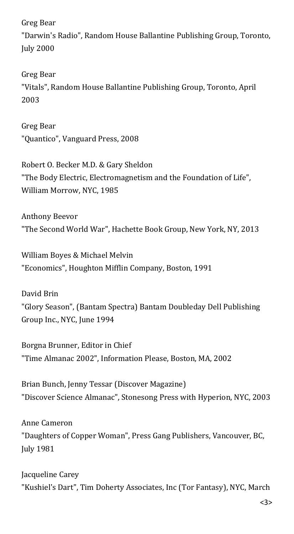Greg Bear

"Darwin's Radio", Random House Ballantine Publishing Group, Toronto, July 2000

Greg Bear "Vitals", Random House Ballantine Publishing Group, Toronto, April 2003

Greg Bear "Quantico", Vanguard Press, 2008

Robert O. Becker M.D. & Gary Sheldon "The Body Electric, Electromagnetism and the Foundation of Life", William Morrow, NYC, 1985

Anthony Beevor "The Second World War", Hachette Book Group, New York, NY, 2013

William Boyes & Michael Melvin "Economics", Houghton Mifflin Company, Boston, 1991

David Brin "Glory Season", (Bantam Spectra) Bantam Doubleday Dell Publishing Group Inc., NYC, June 1994

Borgna Brunner, Editor in Chief "Time Almanac 2002", Information Please, Boston, MA, 2002

Brian Bunch, Jenny Tessar (Discover Magazine) "Discover Science Almanac", Stonesong Press with Hyperion, NYC, 2003

Anne Cameron "Daughters of Copper Woman", Press Gang Publishers, Vancouver, BC, July 1981

Jacqueline Carey "Kushiel's Dart", Tim Doherty Associates, Inc (Tor Fantasy), NYC, March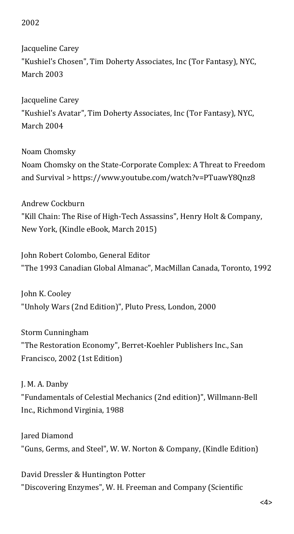## 2002

Jacqueline Carey "Kushiel's Chosen", Tim Doherty Associates, Inc (Tor Fantasy), NYC, March 2003

Jacqueline Carey "Kushiel's Avatar", Tim Doherty Associates, Inc (Tor Fantasy), NYC, March 2004

Noam Chomsky Noam Chomsky on the State-Corporate Complex: A Threat to Freedom and Survival > https://www.youtube.com/watch?v=PTuawY8Qnz8

Andrew Cockburn "Kill Chain: The Rise of High-Tech Assassins", Henry Holt & Company, New York, (Kindle eBook, March 2015)

John Robert Colombo, General Editor "The 1993 Canadian Global Almanac", MacMillan Canada, Toronto, 1992

John K. Cooley "Unholy Wars (2nd Edition)", Pluto Press, London, 2000

Storm Cunningham "The Restoration Economy", Berret-Koehler Publishers Inc., San Francisco, 2002 (1st Edition)

J. M. A. Danby "Fundamentals of Celestial Mechanics (2nd edition)", Willmann-Bell Inc., Richmond Virginia, 1988

Jared Diamond "Guns, Germs, and Steel", W. W. Norton & Company, (Kindle Edition)

David Dressler & Huntington Potter "Discovering Enzymes", W. H. Freeman and Company (Scientific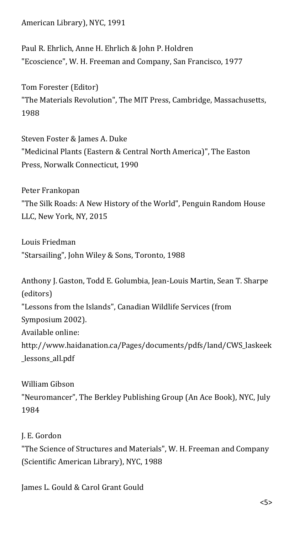American Library), NYC, 1991

Paul R. Ehrlich, Anne H. Ehrlich & John P. Holdren "Ecoscience", W. H. Freeman and Company, San Francisco, 1977

Tom Forester (Editor) "The Materials Revolution", The MIT Press, Cambridge, Massachusetts, 1988

Steven Foster & James A. Duke "Medicinal Plants (Eastern & Central North America)", The Easton Press, Norwalk Connecticut, 1990

Peter Frankopan "The Silk Roads: A New History of the World", Penguin Random House LLC, New York, NY, 2015

Louis Friedman "Starsailing", John Wiley & Sons, Toronto, 1988

Anthony J. Gaston, Todd E. Golumbia, Jean-Louis Martin, Sean T. Sharpe (editors) "Lessons from the Islands", Canadian Wildlife Services (from Symposium 2002). Available online: http://www.haidanation.ca/Pages/documents/pdfs/land/CWS\_laskeek \_lessons\_all.pdf

William Gibson "Neuromancer", The Berkley Publishing Group (An Ace Book), NYC, July 1984

J. E. Gordon "The Science of Structures and Materials", W. H. Freeman and Company (Scientific American Library), NYC, 1988

James L. Gould & Carol Grant Gould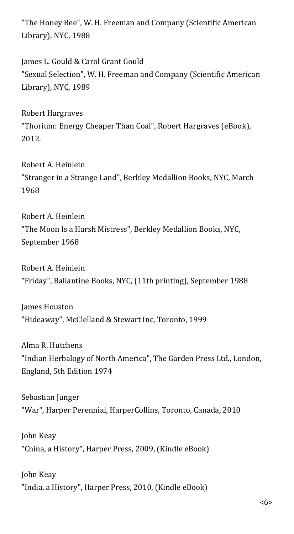"The Honey Bee", W. H. Freeman and Company (Scientific American Library), NYC, 1988

James L. Gould & Carol Grant Gould "Sexual Selection", W. H. Freeman and Company (Scientific American Library), NYC, 1989

Robert Hargraves "Thorium: Energy Cheaper Than Coal", Robert Hargraves (eBook), 2012.

Robert A. Heinlein "Stranger in a Strange Land", Berkley Medallion Books, NYC, March 1968

Robert A. Heinlein "The Moon Is a Harsh Mistress", Berkley Medallion Books, NYC, September 1968

Robert A. Heinlein "Friday", Ballantine Books, NYC, (11th printing), September 1988

James Houston "Hideaway", McClelland & Stewart Inc, Toronto, 1999

Alma R. Hutchens "Indian Herbalogy of North America", The Garden Press Ltd., London, England, 5th Edition 1974

Sebastian Junger "War", Harper Perennial, HarperCollins, Toronto, Canada, 2010

John Keay "China, a History", Harper Press, 2009, (Kindle eBook)

John Keay "India, a History", Harper Press, 2010, (Kindle eBook)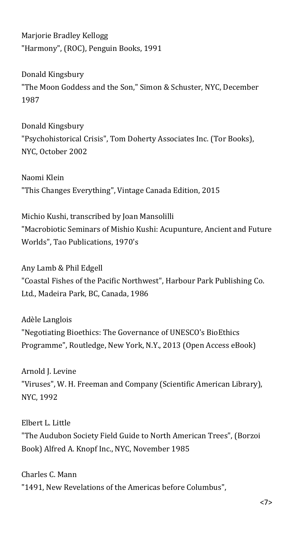Marjorie Bradley Kellogg "Harmony", (ROC), Penguin Books, 1991

Donald Kingsbury "The Moon Goddess and the Son," Simon & Schuster, NYC, December 1987

Donald Kingsbury "Psychohistorical Crisis", Tom Doherty Associates Inc. (Tor Books), NYC, October 2002

Naomi Klein "This Changes Everything", Vintage Canada Edition, 2015

Michio Kushi, transcribed by Joan Mansolilli "Macrobiotic Seminars of Mishio Kushi: Acupunture, Ancient and Future Worlds", Tao Publications, 1970's

Any Lamb & Phil Edgell "Coastal Fishes of the Pacific Northwest", Harbour Park Publishing Co. Ltd., Madeira Park, BC, Canada, 1986

Adèle Langlois "Negotiating Bioethics: The Governance of UNESCO's BioEthics Programme", Routledge, New York, N.Y., 2013 (Open Access eBook)

Arnold J. Levine "Viruses", W. H. Freeman and Company (Scientific American Library), NYC, 1992

Elbert L. Little "The Audubon Society Field Guide to North American Trees", (Borzoi Book) Alfred A. Knopf Inc., NYC, November 1985

Charles C. Mann "1491, New Revelations of the Americas before Columbus",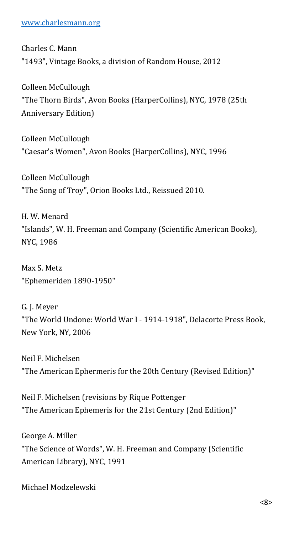## [www.charlesmann.org](http://www.charlesmann.org/)

Charles C. Mann "1493", Vintage Books, a division of Random House, 2012

Colleen McCullough "The Thorn Birds", Avon Books (HarperCollins), NYC, 1978 (25th Anniversary Edition)

Colleen McCullough "Caesar's Women", Avon Books (HarperCollins), NYC, 1996

Colleen McCullough "The Song of Troy", Orion Books Ltd., Reissued 2010.

H. W. Menard "Islands", W. H. Freeman and Company (Scientific American Books), NYC, 1986

Max S. Metz "Ephemeriden 1890-1950"

G. J. Meyer "The World Undone: World War I - 1914-1918", Delacorte Press Book, New York, NY, 2006

Neil F. Michelsen "The American Ephermeris for the 20th Century (Revised Edition)"

Neil F. Michelsen (revisions by Rique Pottenger "The American Ephemeris for the 21st Century (2nd Edition)"

George A. Miller "The Science of Words", W. H. Freeman and Company (Scientific American Library), NYC, 1991

Michael Modzelewski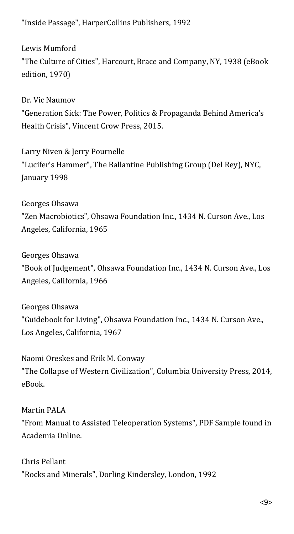"Inside Passage", HarperCollins Publishers, 1992

Lewis Mumford "The Culture of Cities", Harcourt, Brace and Company, NY, 1938 (eBook edition, 1970)

Dr. Vic Naumov "Generation Sick: The Power, Politics & Propaganda Behind America's Health Crisis", Vincent Crow Press, 2015.

Larry Niven & Jerry Pournelle "Lucifer's Hammer", The Ballantine Publishing Group (Del Rey), NYC, January 1998

Georges Ohsawa "Zen Macrobiotics", Ohsawa Foundation Inc., 1434 N. Curson Ave., Los Angeles, California, 1965

Georges Ohsawa "Book of Judgement", Ohsawa Foundation Inc., 1434 N. Curson Ave., Los Angeles, California, 1966

Georges Ohsawa "Guidebook for Living", Ohsawa Foundation Inc., 1434 N. Curson Ave., Los Angeles, California, 1967

Naomi Oreskes and Erik M. Conway "The Collapse of Western Civilization", Columbia University Press, 2014, eBook.

Martin PALA "From Manual to Assisted Teleoperation Systems", PDF Sample found in Academia Online.

Chris Pellant "Rocks and Minerals", Dorling Kindersley, London, 1992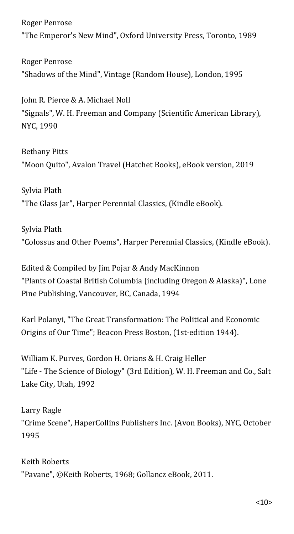Roger Penrose "The Emperor's New Mind", Oxford University Press, Toronto, 1989

Roger Penrose "Shadows of the Mind", Vintage (Random House), London, 1995

John R. Pierce & A. Michael Noll "Signals", W. H. Freeman and Company (Scientific American Library), NYC, 1990

Bethany Pitts "Moon Quito", Avalon Travel (Hatchet Books), eBook version, 2019

Sylvia Plath "The Glass Jar", Harper Perennial Classics, (Kindle eBook).

Sylvia Plath "Colossus and Other Poems", Harper Perennial Classics, (Kindle eBook).

Edited & Compiled by Jim Pojar & Andy MacKinnon "Plants of Coastal British Columbia (including Oregon & Alaska)", Lone Pine Publishing, Vancouver, BC, Canada, 1994

Karl Polanyi, "The Great Transformation: The Political and Economic Origins of Our Time"; Beacon Press Boston, (1st-edition 1944).

William K. Purves, Gordon H. Orians & H. Craig Heller "Life - The Science of Biology" (3rd Edition), W. H. Freeman and Co., Salt Lake City, Utah, 1992

Larry Ragle "Crime Scene", HaperCollins Publishers Inc. (Avon Books), NYC, October 1995

Keith Roberts "Pavane", ©Keith Roberts, 1968; Gollancz eBook, 2011.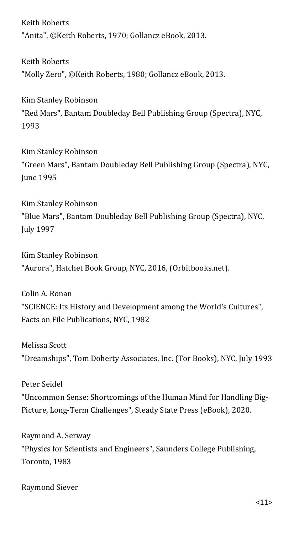Keith Roberts "Anita", ©Keith Roberts, 1970; Gollancz eBook, 2013.

Keith Roberts "Molly Zero", ©Keith Roberts, 1980; Gollancz eBook, 2013.

Kim Stanley Robinson "Red Mars", Bantam Doubleday Bell Publishing Group (Spectra), NYC, 1993

Kim Stanley Robinson "Green Mars", Bantam Doubleday Bell Publishing Group (Spectra), NYC, June 1995

Kim Stanley Robinson "Blue Mars", Bantam Doubleday Bell Publishing Group (Spectra), NYC, July 1997

Kim Stanley Robinson "Aurora", Hatchet Book Group, NYC, 2016, (Orbitbooks.net).

Colin A. Ronan "SCIENCE: Its History and Development among the World's Cultures", Facts on File Publications, NYC, 1982

Melissa Scott "Dreamships", Tom Doherty Associates, Inc. (Tor Books), NYC, July 1993

Peter Seidel "Uncommon Sense: Shortcomings of the Human Mind for Handling Big-Picture, Long-Term Challenges", Steady State Press (eBook), 2020.

Raymond A. Serway "Physics for Scientists and Engineers", Saunders College Publishing, Toronto, 1983

Raymond Siever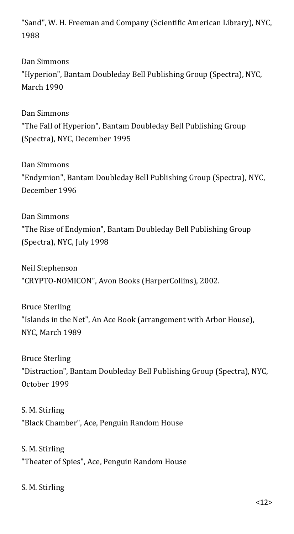"Sand", W. H. Freeman and Company (Scientific American Library), NYC, 1988

Dan Simmons "Hyperion", Bantam Doubleday Bell Publishing Group (Spectra), NYC, March 1990

Dan Simmons "The Fall of Hyperion", Bantam Doubleday Bell Publishing Group (Spectra), NYC, December 1995

Dan Simmons "Endymion", Bantam Doubleday Bell Publishing Group (Spectra), NYC, December 1996

Dan Simmons "The Rise of Endymion", Bantam Doubleday Bell Publishing Group (Spectra), NYC, July 1998

Neil Stephenson "CRYPTO-NOMICON", Avon Books (HarperCollins), 2002.

Bruce Sterling "Islands in the Net", An Ace Book (arrangement with Arbor House), NYC, March 1989

Bruce Sterling "Distraction", Bantam Doubleday Bell Publishing Group (Spectra), NYC, October 1999

S. M. Stirling "Black Chamber", Ace, Penguin Random House

S. M. Stirling "Theater of Spies", Ace, Penguin Random House

S. M. Stirling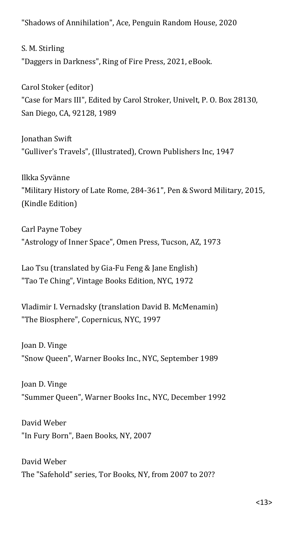"Shadows of Annihilation", Ace, Penguin Random House, 2020

S. M. Stirling "Daggers in Darkness", Ring of Fire Press, 2021, eBook.

Carol Stoker (editor) "Case for Mars III", Edited by Carol Stroker, Univelt, P. O. Box 28130, San Diego, CA, 92128, 1989

Jonathan Swift "Gulliver's Travels", (Illustrated), Crown Publishers Inc, 1947

Ilkka Syvänne "Military History of Late Rome, 284-361", Pen & Sword Military, 2015, (Kindle Edition)

Carl Payne Tobey "Astrology of Inner Space", Omen Press, Tucson, AZ, 1973

Lao Tsu (translated by Gia-Fu Feng & Jane English) "Tao Te Ching", Vintage Books Edition, NYC, 1972

Vladimir I. Vernadsky (translation David B. McMenamin) "The Biosphere", Copernicus, NYC, 1997

Joan D. Vinge "Snow Queen", Warner Books Inc., NYC, September 1989

Joan D. Vinge "Summer Queen", Warner Books Inc., NYC, December 1992

David Weber "In Fury Born", Baen Books, NY, 2007

David Weber The "Safehold" series, Tor Books, NY, from 2007 to 20??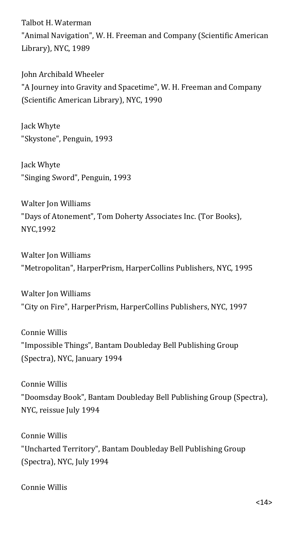Talbot H. Waterman "Animal Navigation", W. H. Freeman and Company (Scientific American Library), NYC, 1989

John Archibald Wheeler "A Journey into Gravity and Spacetime", W. H. Freeman and Company (Scientific American Library), NYC, 1990

Jack Whyte "Skystone", Penguin, 1993

Jack Whyte "Singing Sword", Penguin, 1993

Walter Jon Williams "Days of Atonement", Tom Doherty Associates Inc. (Tor Books), NYC,1992

Walter Jon Williams "Metropolitan", HarperPrism, HarperCollins Publishers, NYC, 1995

Walter Jon Williams "City on Fire", HarperPrism, HarperCollins Publishers, NYC, 1997

Connie Willis "Impossible Things", Bantam Doubleday Bell Publishing Group (Spectra), NYC, January 1994

Connie Willis "Doomsday Book", Bantam Doubleday Bell Publishing Group (Spectra), NYC, reissue July 1994

Connie Willis "Uncharted Territory", Bantam Doubleday Bell Publishing Group (Spectra), NYC, July 1994

Connie Willis